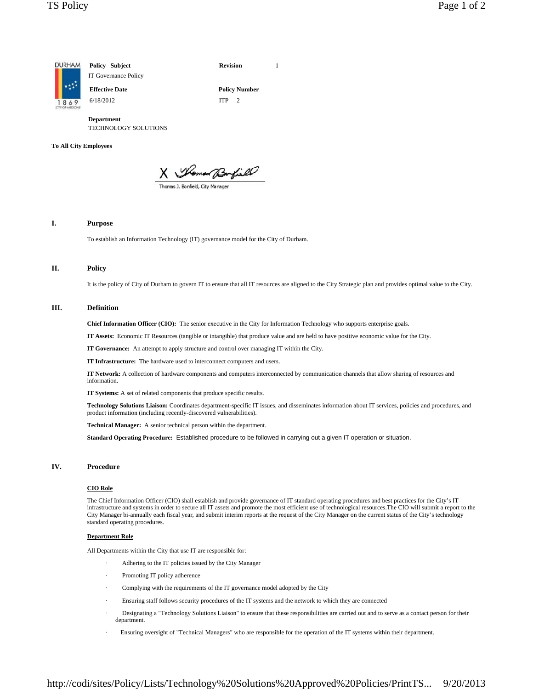

TECHNOLOGY SOLUTIONS

#### **To All City Employees**

X Momed Burfield

#### **I. Purpose**

To establish an Information Technology (IT) governance model for the City of Durham.

### **II. Policy**

It is the policy of City of Durham to govern IT to ensure that all IT resources are aligned to the City Strategic plan and provides optimal value to the City.

## **III. Definition**

**Chief Information Officer (CIO):** The senior executive in the City for Information Technology who supports enterprise goals.

**IT Assets:** Economic IT Resources (tangible or intangible) that produce value and are held to have positive economic value for the City.

**IT Governance:** An attempt to apply structure and control over managing IT within the City.

**IT Infrastructure:** The hardware used to interconnect computers and users.

**IT Network:** A collection of hardware components and computers interconnected by communication channels that allow sharing of resources and information.

**IT Systems:** A set of related components that produce specific results.

**Technology Solutions Liaison:** Coordinates department-specific IT issues, and disseminates information about IT services, policies and procedures, and product information (including recently-discovered vulnerabilities).

**Technical Manager:** A senior technical person within the department.

**Standard Operating Procedure:** Established procedure to be followed in carrying out a given IT operation or situation.

#### **IV. Procedure**

## **CIO Role**

The Chief Information Officer (CIO) shall establish and provide governance of IT standard operating procedures and best practices for the City's IT infrastructure and systems in order to secure all IT assets and promote the most efficient use of technological resources.The CIO will submit a report to the City Manager bi-annually each fiscal year, and submit interim reports at the request of the City Manager on the current status of the City's technology standard operating procedures.

#### **Department Role**

All Departments within the City that use IT are responsible for:

- Adhering to the IT policies issued by the City Manager
- Promoting IT policy adherence
- Complying with the requirements of the IT governance model adopted by the City
- Ensuring staff follows security procedures of the IT systems and the network to which they are connected
- Designating a "Technology Solutions Liaison" to ensure that these responsibilities are carried out and to serve as a contact person for their department.
- Ensuring oversight of "Technical Managers" who are responsible for the operation of the IT systems within their department.